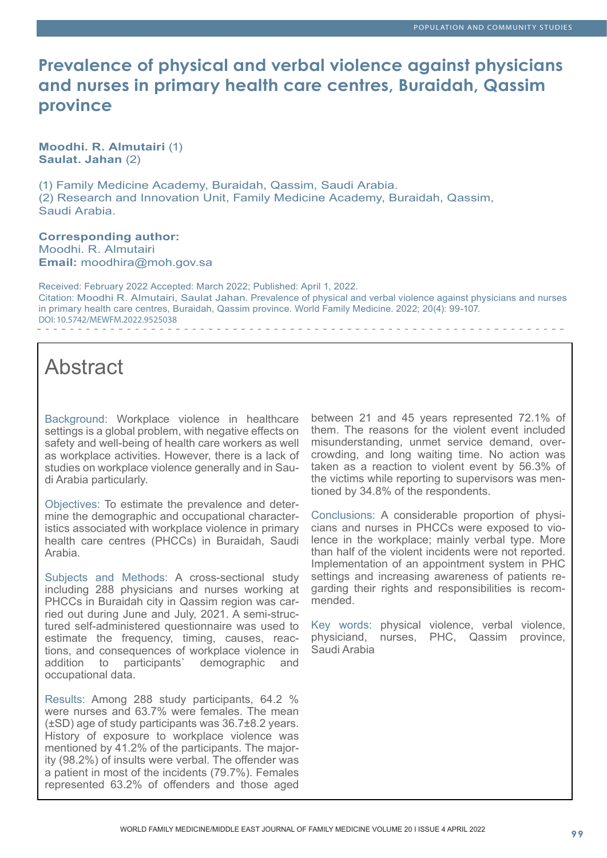## **Prevalence of physical and verbal violence against physicians and nurses in primary health care centres, Buraidah, Qassim province**

**Moodhi. R. Almutairi** (1) **Saulat. Jahan** (2)

(1) Family Medicine Academy, Buraidah, Qassim, Saudi Arabia. (2) Research and Innovation Unit, Family Medicine Academy, Buraidah, Qassim, Saudi Arabia.

**Corresponding author:** Moodhi. R. Almutairi **Email:** moodhira@moh.gov.sa

Received: February 2022 Accepted: March 2022; Published: April 1, 2022. Citation: Moodhi R. Almutairi, Saulat Jahan. Prevalence of physical and verbal violence against physicians and nurses in primary health care centres, Buraidah, Qassim province. World Family Medicine. 2022; 20(4): 99-107. DOI: 10.5742/MEWFM.2022.9525038

# Abstract

Background: Workplace violence in healthcare settings is a global problem, with negative effects on safety and well-being of health care workers as well as workplace activities. However, there is a lack of studies on workplace violence generally and in Saudi Arabia particularly.

Objectives: To estimate the prevalence and determine the demographic and occupational characteristics associated with workplace violence in primary health care centres (PHCCs) in Buraidah, Saudi Arabia.

Subjects and Methods: A cross-sectional study including 288 physicians and nurses working at PHCCs in Buraidah city in Qassim region was carried out during June and July, 2021. A semi-structured self-administered questionnaire was used to estimate the frequency, timing, causes, reactions, and consequences of workplace violence in addition to participants' demographic and demographic and occupational data.

Results: Among 288 study participants, 64.2 % were nurses and 63.7% were females. The mean (±SD) age of study participants was 36.7±8.2 years. History of exposure to workplace violence was mentioned by 41.2% of the participants. The majority (98.2%) of insults were verbal. The offender was a patient in most of the incidents (79.7%). Females represented 63.2% of offenders and those aged between 21 and 45 years represented 72.1% of them. The reasons for the violent event included misunderstanding, unmet service demand, overcrowding, and long waiting time. No action was taken as a reaction to violent event by 56.3% of the victims while reporting to supervisors was mentioned by 34.8% of the respondents.

Conclusions: A considerable proportion of physicians and nurses in PHCCs were exposed to violence in the workplace; mainly verbal type. More than half of the violent incidents were not reported. Implementation of an appointment system in PHC settings and increasing awareness of patients regarding their rights and responsibilities is recommended.

Key words: physical violence, verbal violence, physiciand, nurses, PHC, Qassim province, Saudi Arabia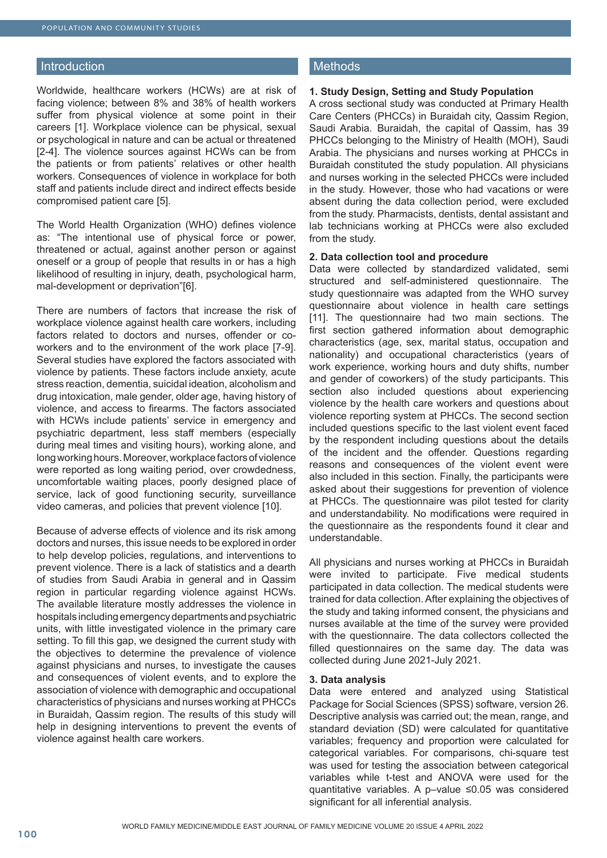#### **Introduction**

Worldwide, healthcare workers (HCWs) are at risk of facing violence; between 8% and 38% of health workers suffer from physical violence at some point in their careers [1]. Workplace violence can be physical, sexual or psychological in nature and can be actual or threatened [2-4]. The violence sources against HCWs can be from the patients or from patients' relatives or other health workers. Consequences of violence in workplace for both staff and patients include direct and indirect effects beside compromised patient care [5].

The World Health Organization (WHO) defines violence as: "The intentional use of physical force or power, threatened or actual, against another person or against oneself or a group of people that results in or has a high likelihood of resulting in injury, death, psychological harm, mal-development or deprivation"[6].

There are numbers of factors that increase the risk of workplace violence against health care workers, including factors related to doctors and nurses, offender or coworkers and to the environment of the work place [7-9]. Several studies have explored the factors associated with violence by patients. These factors include anxiety, acute stress reaction, dementia, suicidal ideation, alcoholism and drug intoxication, male gender, older age, having history of violence, and access to firearms. The factors associated with HCWs include patients' service in emergency and psychiatric department, less staff members (especially during meal times and visiting hours), working alone, and long working hours. Moreover, workplace factors of violence were reported as long waiting period, over crowdedness, uncomfortable waiting places, poorly designed place of service, lack of good functioning security, surveillance video cameras, and policies that prevent violence [10].

Because of adverse effects of violence and its risk among doctors and nurses, this issue needs to be explored in order to help develop policies, regulations, and interventions to prevent violence. There is a lack of statistics and a dearth of studies from Saudi Arabia in general and in Qassim region in particular regarding violence against HCWs. The available literature mostly addresses the violence in hospitals including emergency departments and psychiatric units, with little investigated violence in the primary care setting. To fill this gap, we designed the current study with the objectives to determine the prevalence of violence against physicians and nurses, to investigate the causes and consequences of violent events, and to explore the association of violence with demographic and occupational characteristics of physicians and nurses working at PHCCs in Buraidah, Qassim region. The results of this study will help in designing interventions to prevent the events of violence against health care workers.

### **Methods**

### **1. Study Design, Setting and Study Population**

A cross sectional study was conducted at Primary Health Care Centers (PHCCs) in Buraidah city, Qassim Region, Saudi Arabia. Buraidah, the capital of Qassim, has 39 PHCCs belonging to the Ministry of Health (MOH), Saudi Arabia. The physicians and nurses working at PHCCs in Buraidah constituted the study population. All physicians and nurses working in the selected PHCCs were included in the study. However, those who had vacations or were absent during the data collection period, were excluded from the study. Pharmacists, dentists, dental assistant and lab technicians working at PHCCs were also excluded from the study.

#### **2. Data collection tool and procedure**

Data were collected by standardized validated, semi structured and self-administered questionnaire. The study questionnaire was adapted from the WHO survey questionnaire about violence in health care settings [11]. The questionnaire had two main sections. The first section gathered information about demographic characteristics (age, sex, marital status, occupation and nationality) and occupational characteristics (years of work experience, working hours and duty shifts, number and gender of coworkers) of the study participants. This section also included questions about experiencing violence by the health care workers and questions about violence reporting system at PHCCs. The second section included questions specific to the last violent event faced by the respondent including questions about the details of the incident and the offender. Questions regarding reasons and consequences of the violent event were also included in this section. Finally, the participants were asked about their suggestions for prevention of violence at PHCCs. The questionnaire was pilot tested for clarity and understandability. No modifications were required in the questionnaire as the respondents found it clear and understandable.

All physicians and nurses working at PHCCs in Buraidah were invited to participate. Five medical students participated in data collection. The medical students were trained for data collection. After explaining the objectives of the study and taking informed consent, the physicians and nurses available at the time of the survey were provided with the questionnaire. The data collectors collected the filled questionnaires on the same day. The data was collected during June 2021-July 2021.

#### **3. Data analysis**

Data were entered and analyzed using Statistical Package for Social Sciences (SPSS) software, version 26. Descriptive analysis was carried out; the mean, range, and standard deviation (SD) were calculated for quantitative variables; frequency and proportion were calculated for categorical variables. For comparisons, chi-square test was used for testing the association between categorical variables while t-test and ANOVA were used for the quantitative variables. A p–value ≤0.05 was considered significant for all inferential analysis.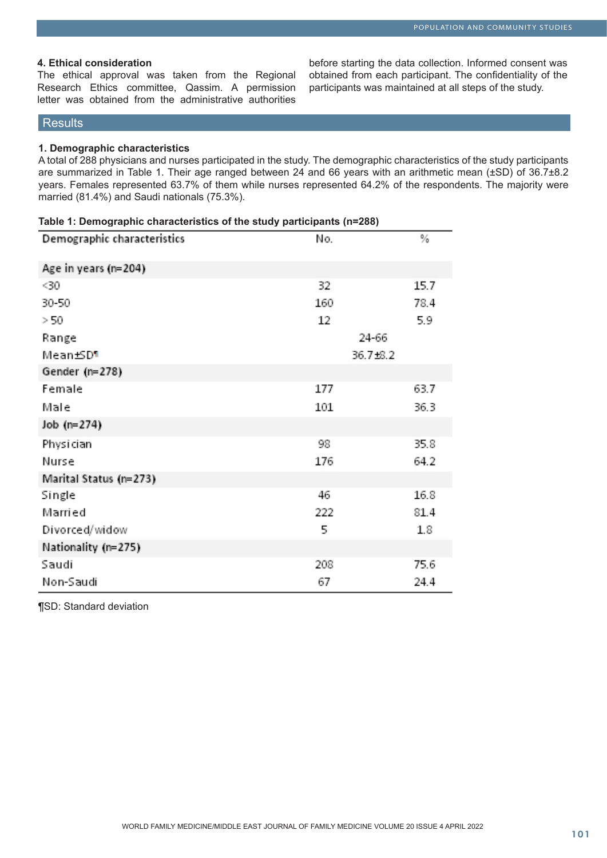### **4. Ethical consideration**

The ethical approval was taken from the Regional Research Ethics committee, Qassim. A permission letter was obtained from the administrative authorities

before starting the data collection. Informed consent was obtained from each participant. The confidentiality of the participants was maintained at all steps of the study.

### **Results**

#### **1. Demographic characteristics**

A total of 288 physicians and nurses participated in the study. The demographic characteristics of the study participants are summarized in Table 1. Their age ranged between 24 and 66 years with an arithmetic mean (±SD) of 36.7±8.2 years. Females represented 63.7% of them while nurses represented 64.2% of the respondents. The majority were married (81.4%) and Saudi nationals (75.3%).

| Table 1: Demographic characteristics of the study participants (n=288) |          |      |  |
|------------------------------------------------------------------------|----------|------|--|
| Demographic characteristics                                            | No.      | %    |  |
| Age in years (n=204)                                                   |          |      |  |
| $30$                                                                   | 32       | 15.7 |  |
| 30-50                                                                  | 160      | 78.4 |  |
| > 50                                                                   | 12       | 5.9  |  |
| Range                                                                  | 24-66    |      |  |
| Mean±SD¶                                                               | 36.7±8.2 |      |  |
| Gender (n=278)                                                         |          |      |  |
| Female                                                                 | 177      | 63.7 |  |
| Male                                                                   | 101      | 36.3 |  |
| Job (n=274)                                                            |          |      |  |
| Physician                                                              | 98       | 35.8 |  |
| Nurse                                                                  | 176      | 64.2 |  |
| Marital Status (n=273)                                                 |          |      |  |
| Single                                                                 | 46       | 16.8 |  |
| Married                                                                | 222      | 81.4 |  |
| Divorced/widow                                                         | 5        | 1.8  |  |
| Nationality (n=275)                                                    |          |      |  |
| Saudi                                                                  | 208      | 75.6 |  |
| Non-Saudi                                                              | 67       | 24.4 |  |

¶SD: Standard deviation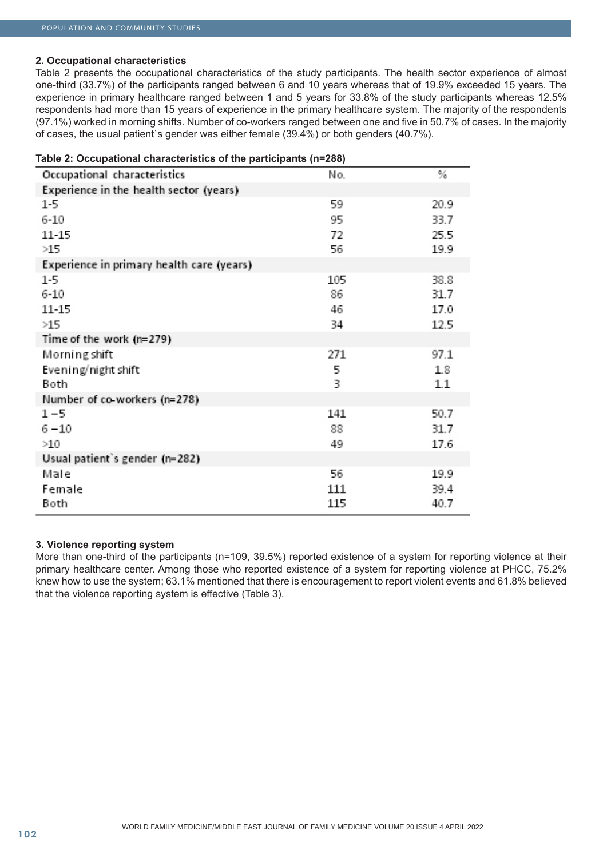### **2. Occupational characteristics**

Table 2 presents the occupational characteristics of the study participants. The health sector experience of almost one-third (33.7%) of the participants ranged between 6 and 10 years whereas that of 19.9% exceeded 15 years. The experience in primary healthcare ranged between 1 and 5 years for 33.8% of the study participants whereas 12.5% respondents had more than 15 years of experience in the primary healthcare system. The majority of the respondents (97.1%) worked in morning shifts. Number of co-workers ranged between one and five in 50.7% of cases. In the majority of cases, the usual patient`s gender was either female (39.4%) or both genders (40.7%).

| Table 2: Occupational characteristics of the participants (n=288) |     |         |  |
|-------------------------------------------------------------------|-----|---------|--|
| Occupational characteristics                                      | No. | %       |  |
| Experience in the health sector (years)                           |     |         |  |
| 1-5                                                               | 59  | 20.9    |  |
| 6-10                                                              | 95  | 33.7    |  |
| 11-15                                                             | 72  | 25.5    |  |
| >15                                                               | 56  | 19.9    |  |
| Experience in primary health care (years)                         |     |         |  |
| 1-5                                                               | 105 | 38.8    |  |
| $6 - 10$                                                          | 86  | 31.7    |  |
| 11-15                                                             | 46  | 17.0    |  |
| >15                                                               | 34  | 12.5    |  |
| Time of the work (n=279)                                          |     |         |  |
| Morning shift                                                     | 271 | 97.1    |  |
| Evening/night shift                                               | 5   | 1.8     |  |
| Both                                                              | 3   | $1.1\,$ |  |
| Number of co-workers (n=278)                                      |     |         |  |
| 1-5                                                               | 141 | 50.7    |  |
| 6 – 10                                                            | 88  | 31.7    |  |
| >10                                                               | 49  | 17.6    |  |
| Usual patient's gender (n=282)                                    |     |         |  |
| Male                                                              | 56  | 19.9    |  |
| Female                                                            | 111 | 39.4    |  |
| Both                                                              | 115 | 40.7    |  |

### **3. Violence reporting system**

More than one-third of the participants (n=109, 39.5%) reported existence of a system for reporting violence at their primary healthcare center. Among those who reported existence of a system for reporting violence at PHCC, 75.2% knew how to use the system; 63.1% mentioned that there is encouragement to report violent events and 61.8% believed that the violence reporting system is effective (Table 3).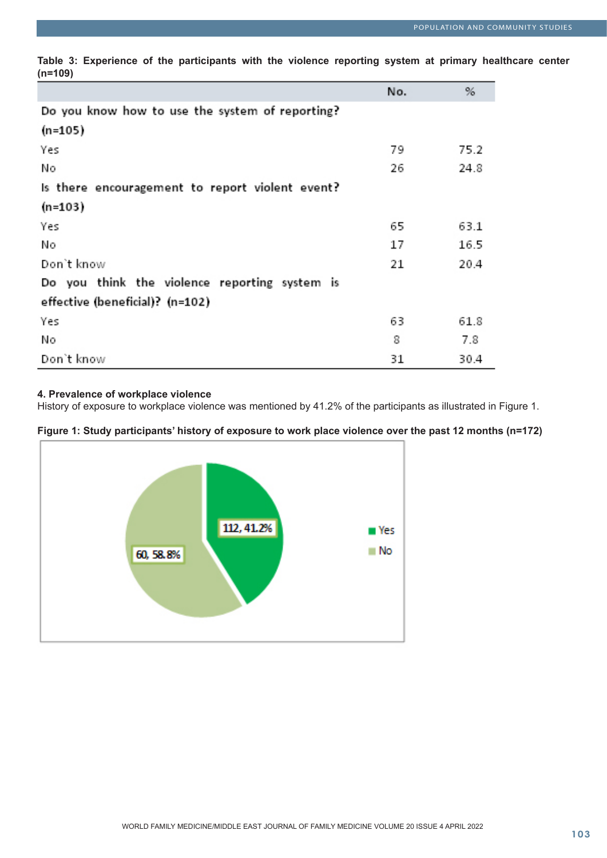|                                                 | No. | %    |
|-------------------------------------------------|-----|------|
| Do you know how to use the system of reporting? |     |      |
| (n=105)                                         |     |      |
| Yes                                             | 79  | 75.2 |
| Νo                                              | 26  | 24.8 |
| Is there encouragement to report violent event? |     |      |
| (n=103)                                         |     |      |
| Yes                                             | 65  | 63.1 |
| Νo                                              | 17  | 16.5 |
| Don't know                                      | 21  | 20.4 |
| Do you think the violence reporting system is   |     |      |
| effective (beneficial)? (n=102)                 |     |      |
| Yes                                             | 63  | 61.8 |
| No                                              | 8   | 7.8  |
| Don't know                                      | 31  | 30.4 |

**Table 3: Experience of the participants with the violence reporting system at primary healthcare center (n=109)**

### **4. Prevalence of workplace violence**

History of exposure to workplace violence was mentioned by 41.2% of the participants as illustrated in Figure 1.



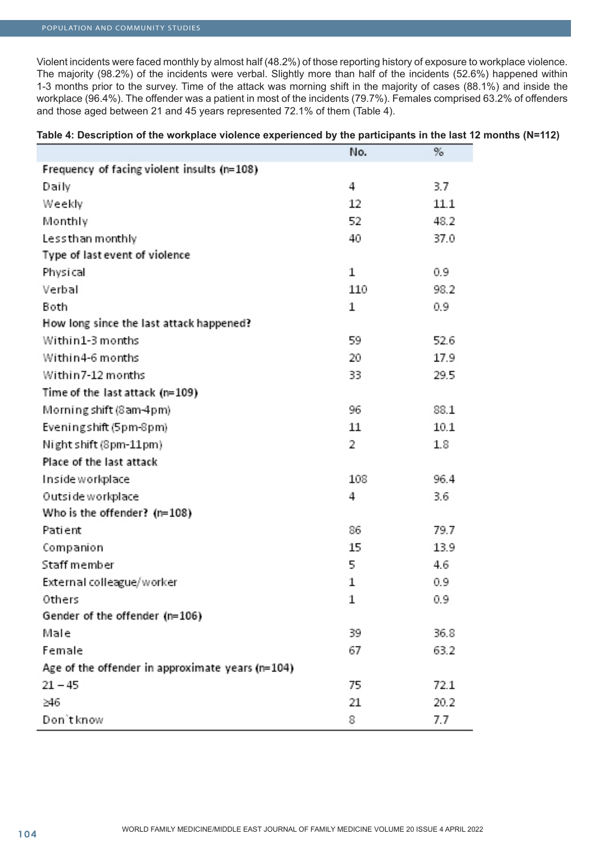### POPULATION AND COMMUNITY STUDIES

Violent incidents were faced monthly by almost half (48.2%) of those reporting history of exposure to workplace violence. The majority (98.2%) of the incidents were verbal. Slightly more than half of the incidents (52.6%) happened within 1-3 months prior to the survey. Time of the attack was morning shift in the majority of cases (88.1%) and inside the workplace (96.4%). The offender was a patient in most of the incidents (79.7%). Females comprised 63.2% of offenders and those aged between 21 and 45 years represented 72.1% of them (Table 4).

| (N=112)Table 4: Description of the workplace violence experienced by the participants in the last 12 months |  |
|-------------------------------------------------------------------------------------------------------------|--|
|                                                                                                             |  |

|                                                  | No. | %    |
|--------------------------------------------------|-----|------|
| Frequency of facing violent insults (n=108)      |     |      |
| Daily                                            | 4   | 3.7  |
| Weekly                                           | 12  | 11.1 |
| Monthly                                          | 52  | 48.2 |
| Lessthan monthly                                 | 40  | 37.0 |
| Type of last event of violence                   |     |      |
| Physical                                         | 1   | 0.9  |
| Verbal                                           | 110 | 98.2 |
| Both                                             | 1   | 0.9  |
| How long since the last attack happened?         |     |      |
| Within1-3 months                                 | 59  | 52.6 |
| Within4-6 months                                 | 20  | 17.9 |
| Within7-12 months                                | 33  | 29.5 |
| Time of the last attack (n=109)                  |     |      |
| Morning shift (8 am-4pm)                         | 96  | 88.1 |
| Eveningshift (5pm-8pm)                           | 11  | 10.1 |
| Night shift (8pm-11pm)                           | 2   | 1.8  |
| Place of the last attack                         |     |      |
| Inside workplace                                 | 108 | 96.4 |
| Outside workplace                                | 4   | 3.6  |
| Who is the offender? (n=108)                     |     |      |
| Patient                                          | 86  | 79.7 |
| Companion                                        | 15  | 13.9 |
| Staff member                                     | 5   | 4.6  |
| External colleague/worker                        | 1   | 0.9  |
| Others                                           | 1   | 0.9  |
| Gender of the offender (n=106)                   |     |      |
| Male                                             | 39  | 36.8 |
| Female                                           | 67  | 63.2 |
| Age of the offender in approximate years (n=104) |     |      |
| $21 - 45$                                        | 75  | 72.1 |
| ≥46                                              | 21  | 20.2 |
| Don't know                                       | 8   | 7.7  |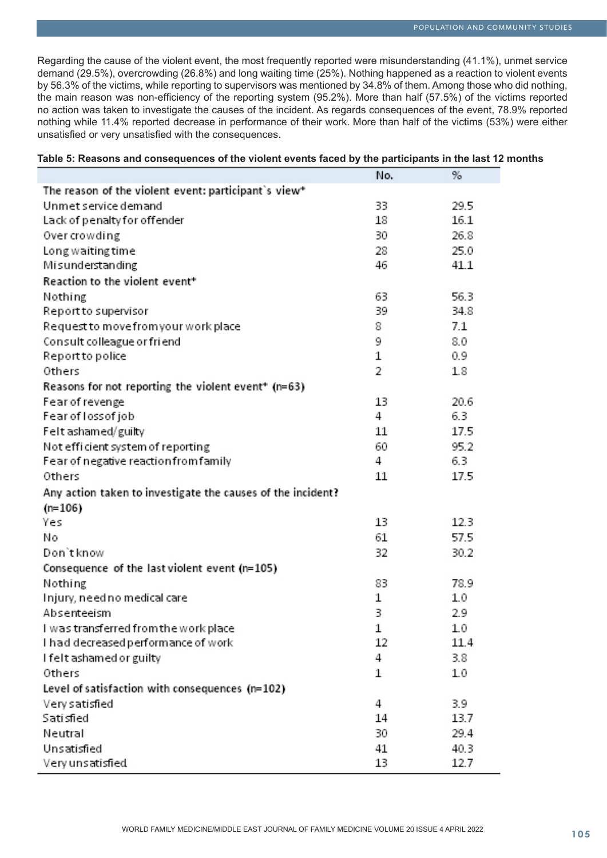Regarding the cause of the violent event, the most frequently reported were misunderstanding (41.1%), unmet service demand (29.5%), overcrowding (26.8%) and long waiting time (25%). Nothing happened as a reaction to violent events by 56.3% of the victims, while reporting to supervisors was mentioned by 34.8% of them. Among those who did nothing, the main reason was non-efficiency of the reporting system (95.2%). More than half (57.5%) of the victims reported no action was taken to investigate the causes of the incident. As regards consequences of the event, 78.9% reported nothing while 11.4% reported decrease in performance of their work. More than half of the victims (53%) were either unsatisfied or very unsatisfied with the consequences.

|                                                             | No. | %    |
|-------------------------------------------------------------|-----|------|
| The reason of the violent event: participant's view*        |     |      |
| Unmet service demand                                        | 33  | 29.5 |
| Lack of penalty for offender                                | 18  | 16.1 |
| Over crowding                                               | 30  | 26.8 |
| Long waiting time                                           | 28  | 25.0 |
| Misunderstanding                                            | 46  | 41.1 |
| Reaction to the violent event <sup>*</sup>                  |     |      |
| Nothing                                                     | 63  | 56.3 |
| Report to supervisor                                        | 39  | 34.8 |
| Request to move from your work place                        | 8   | 7.1  |
| Consult colleague or friend                                 | 9   | 8.0  |
| Report to police                                            | 1   | 0.9  |
| Others                                                      | 2   | 1.8  |
| Reasons for not reporting the violent event* (n=63)         |     |      |
| Fear of revenge                                             | 13  | 20.6 |
| Fear of loss of job                                         | 4   | 6.3  |
| Felt ashamed/guilty                                         | 11  | 17.5 |
| Not efficient system of reporting                           | 60  | 95.2 |
| Fear of negative reaction from family                       | 4   | 6.3  |
| Others                                                      | 11  | 17.5 |
| Any action taken to investigate the causes of the incident? |     |      |
| $(n=106)$                                                   |     |      |
| Yes                                                         | 13  | 12.3 |
| Nο                                                          | 61  | 57.5 |
| Don't know                                                  | 32  | 30.2 |
| Consequence of the last violent event (n=105)               |     |      |
| Nothing                                                     | 83  | 78.9 |
| Injury, need no medical care                                | 1   | 1.0  |
| Absenteeism                                                 | 3   | 2.9  |
| I was transferred from the work place                       | 1   | 1.0  |
| I had decreased performance of work                         | 12  | 11.4 |
| I felt ashamed or guilty                                    | 4   | 3.8  |
| Others                                                      | 1   | 1.0  |
| Level of satisfaction with consequences (n=102)             |     |      |
| Very satisfied                                              | 4   | 3.9  |
| Sati stied                                                  | 14  | 13.7 |
| Neutral                                                     | 30  | 29.4 |
| Unsatisfied                                                 | 41  | 40.3 |
| Very un satisfied.                                          | 13  | 12.7 |

### **Table 5: Reasons and consequences of the violent events faced by the participants in the last 12 months**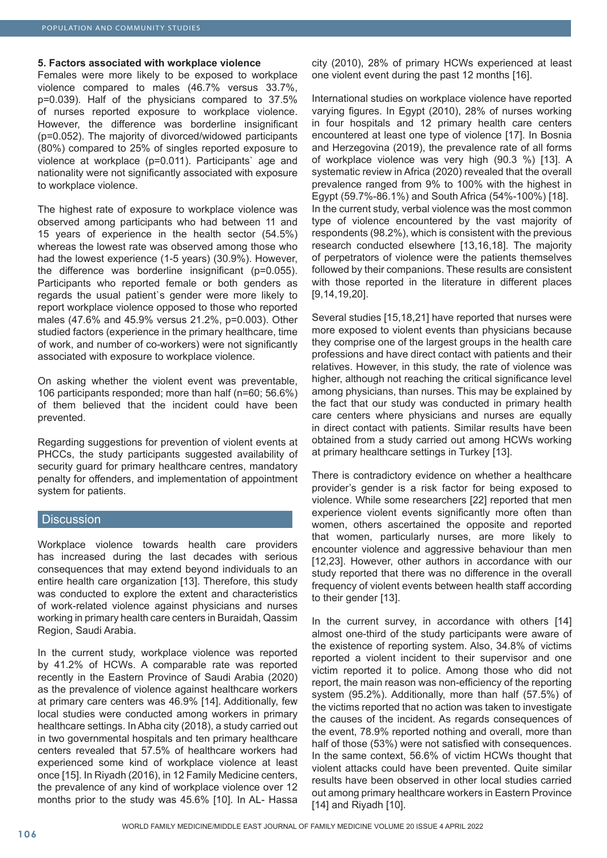#### **5. Factors associated with workplace violence**

Females were more likely to be exposed to workplace violence compared to males (46.7% versus 33.7%, p=0.039). Half of the physicians compared to 37.5% of nurses reported exposure to workplace violence. However, the difference was borderline insignificant (p=0.052). The majority of divorced/widowed participants (80%) compared to 25% of singles reported exposure to violence at workplace (p=0.011). Participants` age and nationality were not significantly associated with exposure to workplace violence.

The highest rate of exposure to workplace violence was observed among participants who had between 11 and 15 years of experience in the health sector (54.5%) whereas the lowest rate was observed among those who had the lowest experience (1-5 years) (30.9%). However, the difference was borderline insignificant (p=0.055). Participants who reported female or both genders as regards the usual patient`s gender were more likely to report workplace violence opposed to those who reported males (47.6% and 45.9% versus 21.2%, p=0.003). Other studied factors (experience in the primary healthcare, time of work, and number of co-workers) were not significantly associated with exposure to workplace violence.

On asking whether the violent event was preventable, 106 participants responded; more than half (n=60; 56.6%) of them believed that the incident could have been prevented.

Regarding suggestions for prevention of violent events at PHCCs, the study participants suggested availability of security quard for primary healthcare centres, mandatory penalty for offenders, and implementation of appointment system for patients.

### **Discussion**

Workplace violence towards health care providers has increased during the last decades with serious consequences that may extend beyond individuals to an entire health care organization [13]. Therefore, this study was conducted to explore the extent and characteristics of work-related violence against physicians and nurses working in primary health care centers in Buraidah, Qassim Region, Saudi Arabia.

In the current study, workplace violence was reported by 41.2% of HCWs. A comparable rate was reported recently in the Eastern Province of Saudi Arabia (2020) as the prevalence of violence against healthcare workers at primary care centers was 46.9% [14]. Additionally, few local studies were conducted among workers in primary healthcare settings. In Abha city (2018), a study carried out in two governmental hospitals and ten primary healthcare centers revealed that 57.5% of healthcare workers had experienced some kind of workplace violence at least once [15]. In Riyadh (2016), in 12 Family Medicine centers, the prevalence of any kind of workplace violence over 12 months prior to the study was 45.6% [10]. In AL- Hassa

city (2010), 28% of primary HCWs experienced at least one violent event during the past 12 months [16].

International studies on workplace violence have reported varying figures. In Egypt (2010), 28% of nurses working in four hospitals and 12 primary health care centers encountered at least one type of violence [17]. In Bosnia and Herzegovina (2019), the prevalence rate of all forms of workplace violence was very high (90.3 %) [13]. A systematic review in Africa (2020) revealed that the overall prevalence ranged from 9% to 100% with the highest in Egypt (59.7%-86.1%) and South Africa (54%-100%) [18]. In the current study, verbal violence was the most common type of violence encountered by the vast majority of respondents (98.2%), which is consistent with the previous research conducted elsewhere [13,16,18]. The majority of perpetrators of violence were the patients themselves followed by their companions. These results are consistent with those reported in the literature in different places [9,14,19,20].

Several studies [15,18,21] have reported that nurses were more exposed to violent events than physicians because they comprise one of the largest groups in the health care professions and have direct contact with patients and their relatives. However, in this study, the rate of violence was higher, although not reaching the critical significance level among physicians, than nurses. This may be explained by the fact that our study was conducted in primary health care centers where physicians and nurses are equally in direct contact with patients. Similar results have been obtained from a study carried out among HCWs working at primary healthcare settings in Turkey [13].

There is contradictory evidence on whether a healthcare provider's gender is a risk factor for being exposed to violence. While some researchers [22] reported that men experience violent events significantly more often than women, others ascertained the opposite and reported that women, particularly nurses, are more likely to encounter violence and aggressive behaviour than men [12,23]. However, other authors in accordance with our study reported that there was no difference in the overall frequency of violent events between health staff according to their gender [13].

In the current survey, in accordance with others [14] almost one-third of the study participants were aware of the existence of reporting system. Also, 34.8% of victims reported a violent incident to their supervisor and one victim reported it to police. Among those who did not report, the main reason was non-efficiency of the reporting system (95.2%). Additionally, more than half (57.5%) of the victims reported that no action was taken to investigate the causes of the incident. As regards consequences of the event, 78.9% reported nothing and overall, more than half of those (53%) were not satisfied with consequences. In the same context, 56.6% of victim HCWs thought that violent attacks could have been prevented. Quite similar results have been observed in other local studies carried out among primary healthcare workers in Eastern Province [14] and Riyadh [10].